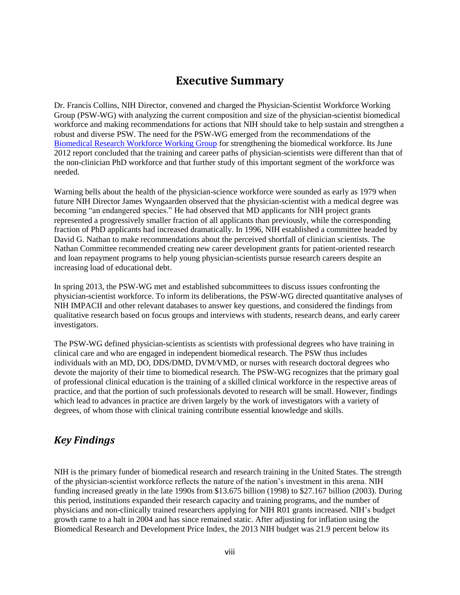# **Executive Summary**

 Dr. Francis Collins, NIH Director, convened and charged the Physician-Scientist Workforce Working 2012 report concluded that the training and career paths of physician-scientists were different than that of Group (PSW-WG) with analyzing the current composition and size of the physician-scientist biomedical workforce and making recommendations for actions that NIH should take to help sustain and strengthen a robust and diverse PSW. The need for the PSW-WG emerged from the recommendations of the [Biomedical Research Workforce Working Group](http://acd.od.nih.gov/biomedical_research_wgreport.pdf) for strengthening the biomedical workforce. Its June the non-clinician PhD workforce and that further study of this important segment of the workforce was needed.

 future NIH Director James Wyngaarden observed that the physician-scientist with a medical degree was Warning bells about the health of the physician-science workforce were sounded as early as 1979 when becoming "an endangered species." He had observed that MD applicants for NIH project grants represented a progressively smaller fraction of all applicants than previously, while the corresponding fraction of PhD applicants had increased dramatically. In 1996, NIH established a committee headed by David G. Nathan to make recommendations about the perceived shortfall of clinician scientists. The Nathan Committee recommended creating new career development grants for patient-oriented research and loan repayment programs to help young physician-scientists pursue research careers despite an increasing load of educational debt.

In spring 2013, the PSW-WG met and established subcommittees to discuss issues confronting the physician-scientist workforce. To inform its deliberations, the PSW-WG directed quantitative analyses of NIH IMPACII and other relevant databases to answer key questions, and considered the findings from qualitative research based on focus groups and interviews with students, research deans, and early career investigators.

The PSW-WG defined physician-scientists as scientists with professional degrees who have training in clinical care and who are engaged in independent biomedical research. The PSW thus includes individuals with an MD, DO, DDS/DMD, DVM/VMD, or nurses with research doctoral degrees who devote the majority of their time to biomedical research. The PSW-WG recognizes that the primary goal of professional clinical education is the training of a skilled clinical workforce in the respective areas of practice, and that the portion of such professionals devoted to research will be small. However, findings which lead to advances in practice are driven largely by the work of investigators with a variety of degrees, of whom those with clinical training contribute essential knowledge and skills.

## *Key Findings*

NIH is the primary funder of biomedical research and research training in the United States. The strength of the physician-scientist workforce reflects the nature of the nation's investment in this arena. NIH funding increased greatly in the late 1990s from \$13.675 billion (1998) to \$27.167 billion (2003). During this period, institutions expanded their research capacity and training programs, and the number of physicians and non-clinically trained researchers applying for NIH R01 grants increased. NIH's budget growth came to a halt in 2004 and has since remained static. After adjusting for inflation using the Biomedical Research and Development Price Index, the 2013 NIH budget was 21.9 percent below its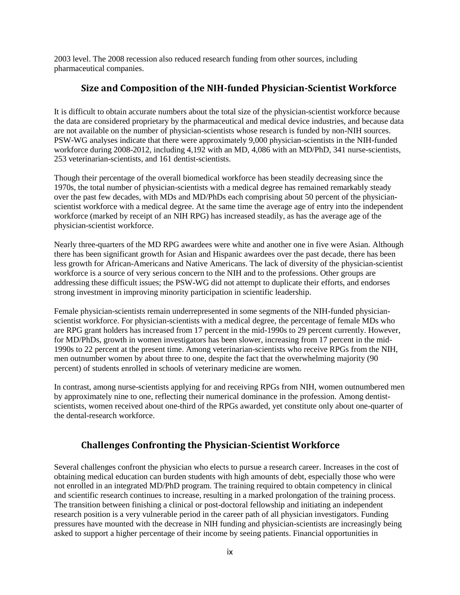2003 level. The 2008 recession also reduced research funding from other sources, including pharmaceutical companies.

#### **Size and Composition of the NIH-funded Physician-Scientist Workforce**

It is difficult to obtain accurate numbers about the total size of the physician-scientist workforce because the data are considered proprietary by the pharmaceutical and medical device industries, and because data are not available on the number of physician-scientists whose research is funded by non-NIH sources. PSW-WG analyses indicate that there were approximately 9,000 physician-scientists in the NIH-funded workforce during 2008-2012, including 4,192 with an MD, 4,086 with an MD/PhD, 341 nurse-scientists, 253 veterinarian-scientists, and 161 dentist-scientists.

 1970s, the total number of physician-scientists with a medical degree has remained remarkably steady scientist workforce with a medical degree. At the same time the average age of entry into the independent physician-scientist workforce. Though their percentage of the overall biomedical workforce has been steadily decreasing since the over the past few decades, with MDs and MD/PhDs each comprising about 50 percent of the physicianworkforce (marked by receipt of an NIH RPG) has increased steadily, as has the average age of the

Nearly three-quarters of the MD RPG awardees were white and another one in five were Asian. Although there has been significant growth for Asian and Hispanic awardees over the past decade, there has been less growth for African-Americans and Native Americans. The lack of diversity of the physician-scientist workforce is a source of very serious concern to the NIH and to the professions. Other groups are addressing these difficult issues; the PSW-WG did not attempt to duplicate their efforts, and endorses strong investment in improving minority participation in scientific leadership.

 men outnumber women by about three to one, despite the fact that the overwhelming majority (90 percent) of students enrolled in schools of veterinary medicine are women. Female physician-scientists remain underrepresented in some segments of the NIH-funded physicianscientist workforce. For physician-scientists with a medical degree, the percentage of female MDs who are RPG grant holders has increased from 17 percent in the mid-1990s to 29 percent currently. However, for MD/PhDs, growth in women investigators has been slower, increasing from 17 percent in the mid-1990s to 22 percent at the present time. Among veterinarian-scientists who receive RPGs from the NIH,

 scientists, women received about one-third of the RPGs awarded, yet constitute only about one-quarter of the dental-research workforce. In contrast, among nurse-scientists applying for and receiving RPGs from NIH, women outnumbered men by approximately nine to one, reflecting their numerical dominance in the profession. Among dentist-

## **Challenges Confronting the Physician-Scientist Workforce**

Several challenges confront the physician who elects to pursue a research career. Increases in the cost of obtaining medical education can burden students with high amounts of debt, especially those who were not enrolled in an integrated MD/PhD program. The training required to obtain competency in clinical and scientific research continues to increase, resulting in a marked prolongation of the training process. The transition between finishing a clinical or post-doctoral fellowship and initiating an independent research position is a very vulnerable period in the career path of all physician investigators. Funding pressures have mounted with the decrease in NIH funding and physician-scientists are increasingly being asked to support a higher percentage of their income by seeing patients. Financial opportunities in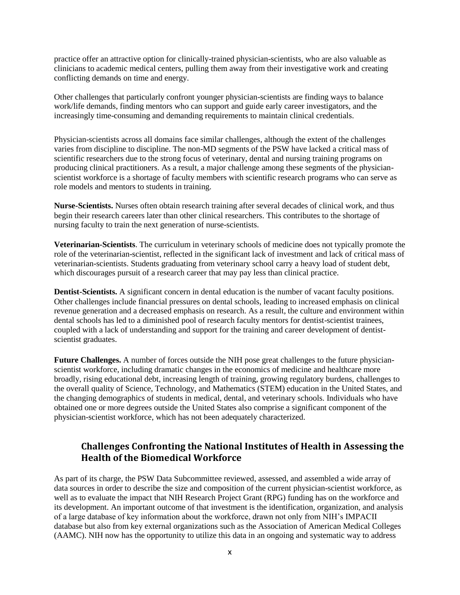practice offer an attractive option for clinically-trained physician-scientists, who are also valuable as clinicians to academic medical centers, pulling them away from their investigative work and creating conflicting demands on time and energy.

Other challenges that particularly confront younger physician-scientists are finding ways to balance work/life demands, finding mentors who can support and guide early career investigators, and the increasingly time-consuming and demanding requirements to maintain clinical credentials.

 Physician-scientists across all domains face similar challenges, although the extent of the challenges scientist workforce is a shortage of faculty members with scientific research programs who can serve as varies from discipline to discipline. The non-MD segments of the PSW have lacked a critical mass of scientific researchers due to the strong focus of veterinary, dental and nursing training programs on producing clinical practitioners. As a result, a major challenge among these segments of the physicianrole models and mentors to students in training.

 begin their research careers later than other clinical researchers. This contributes to the shortage of **Nurse-Scientists.** Nurses often obtain research training after several decades of clinical work, and thus nursing faculty to train the next generation of nurse-scientists.

 role of the veterinarian-scientist, reflected in the significant lack of investment and lack of critical mass of which discourages pursuit of a research career that may pay less than clinical practice. **Veterinarian-Scientists**. The curriculum in veterinary schools of medicine does not typically promote the veterinarian-scientists. Students graduating from veterinary school carry a heavy load of student debt,

 Other challenges include financial pressures on dental schools, leading to increased emphasis on clinical **Dentist-Scientists.** A significant concern in dental education is the number of vacant faculty positions. revenue generation and a decreased emphasis on research. As a result, the culture and environment within dental schools has led to a diminished pool of research faculty mentors for dentist-scientist trainees, coupled with a lack of understanding and support for the training and career development of dentistscientist graduates.

 obtained one or more degrees outside the United States also comprise a significant component of the **Future Challenges.** A number of forces outside the NIH pose great challenges to the future physicianscientist workforce, including dramatic changes in the economics of medicine and healthcare more broadly, rising educational debt, increasing length of training, growing regulatory burdens, challenges to the overall quality of Science, Technology, and Mathematics (STEM) education in the United States, and the changing demographics of students in medical, dental, and veterinary schools. Individuals who have physician-scientist workforce, which has not been adequately characterized.

#### **Challenges Confronting the National Institutes of Health in Assessing the Health of the Biomedical Workforce**

 As part of its charge, the PSW Data Subcommittee reviewed, assessed, and assembled a wide array of well as to evaluate the impact that NIH Research Project Grant (RPG) funding has on the workforce and of a large database of key information about the workforce, drawn not only from NIH's IMPACII data sources in order to describe the size and composition of the current physician-scientist workforce, as its development. An important outcome of that investment is the identification, organization, and analysis database but also from key external organizations such as the Association of American Medical Colleges (AAMC). NIH now has the opportunity to utilize this data in an ongoing and systematic way to address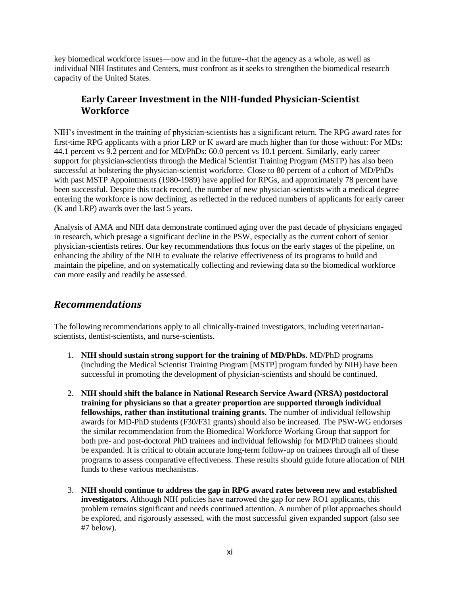individual NIH Institutes and Centers, must confront as it seeks to strengthen the biomedical research key biomedical workforce issues—now and in the future--that the agency as a whole, as well as capacity of the United States.

#### **Early Career Investment in the NIH-funded Physician-Scientist Workforce**

 NIH's investment in the training of physician-scientists has a significant return. The RPG award rates for 44.1 percent vs 9.2 percent and for MD/PhDs: 60.0 percent vs 10.1 percent. Similarly, early career support for physician-scientists through the Medical Scientist Training Program (MSTP) has also been been successful. Despite this track record, the number of new physician-scientists with a medical degree entering the workforce is now declining, as reflected in the reduced numbers of applicants for early career (K and LRP) awards over the last 5 years. first-time RPG applicants with a prior LRP or K award are much higher than for those without: For MDs: successful at bolstering the physician-scientist workforce. Close to 80 percent of a cohort of MD/PhDs with past MSTP Appointments (1980-1989) have applied for RPGs, and approximately 78 percent have

 in research, which presage a significant decline in the PSW, especially as the current cohort of senior physician-scientists retires. Our key recommendations thus focus on the early stages of the pipeline, on enhancing the ability of the NIH to evaluate the relative effectiveness of its programs to build and Analysis of AMA and NIH data demonstrate continued aging over the past decade of physicians engaged maintain the pipeline, and on systematically collecting and reviewing data so the biomedical workforce can more easily and readily be assessed.

## *Recommendations*

The following recommendations apply to all clinically-trained investigators, including veterinarianscientists, dentist-scientists, and nurse-scientists.

- 1. **NIH should sustain strong support for the training of MD/PhDs.** MD/PhD programs (including the Medical Scientist Training Program [MSTP] program funded by NIH) have been successful in promoting the development of physician-scientists and should be continued.
- awards for MD-PhD students (F30/F31 grants) should also be increased. The PSW-WG endorses the similar recommendation from the Biomedical Workforce Working Group that support for both pre- and post-doctoral PhD trainees and individual fellowship for MD/PhD trainees should be expanded. It is critical to obtain accurate long-term follow-up on trainees through all of these 2. **NIH should shift the balance in National Research Service Award (NRSA) postdoctoral training for physicians so that a greater proportion are supported through individual fellowships, rather than institutional training grants.** The number of individual fellowship programs to assess comparative effectiveness. These results should guide future allocation of NIH funds to these various mechanisms.
- 3. **NIH should continue to address the gap in RPG award rates between new and established investigators.** Although NIH policies have narrowed the gap for new RO1 applicants, this problem remains significant and needs continued attention. A number of pilot approaches should be explored, and rigorously assessed, with the most successful given expanded support (also see #7 below).